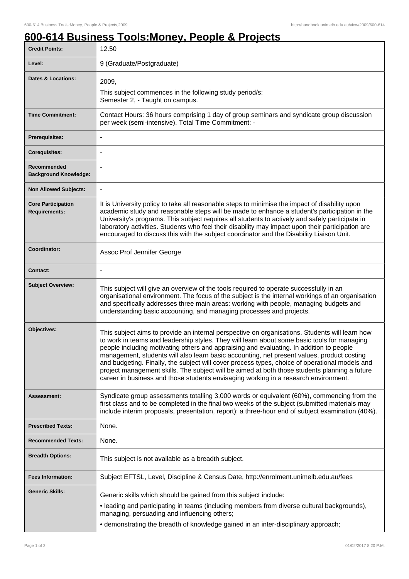٦

## **600-614 Business Tools:Money, People & Projects**

| <b>Credit Points:</b>                             | 12.50                                                                                                                                                                                                                                                                                                                                                                                                                                                                                                                                                                                                                                                                            |
|---------------------------------------------------|----------------------------------------------------------------------------------------------------------------------------------------------------------------------------------------------------------------------------------------------------------------------------------------------------------------------------------------------------------------------------------------------------------------------------------------------------------------------------------------------------------------------------------------------------------------------------------------------------------------------------------------------------------------------------------|
| Level:                                            | 9 (Graduate/Postgraduate)                                                                                                                                                                                                                                                                                                                                                                                                                                                                                                                                                                                                                                                        |
| <b>Dates &amp; Locations:</b>                     | 2009,                                                                                                                                                                                                                                                                                                                                                                                                                                                                                                                                                                                                                                                                            |
|                                                   | This subject commences in the following study period/s:<br>Semester 2, - Taught on campus.                                                                                                                                                                                                                                                                                                                                                                                                                                                                                                                                                                                       |
| <b>Time Commitment:</b>                           | Contact Hours: 36 hours comprising 1 day of group seminars and syndicate group discussion<br>per week (semi-intensive). Total Time Commitment: -                                                                                                                                                                                                                                                                                                                                                                                                                                                                                                                                 |
| Prerequisites:                                    |                                                                                                                                                                                                                                                                                                                                                                                                                                                                                                                                                                                                                                                                                  |
| <b>Corequisites:</b>                              |                                                                                                                                                                                                                                                                                                                                                                                                                                                                                                                                                                                                                                                                                  |
| Recommended<br><b>Background Knowledge:</b>       | $\blacksquare$                                                                                                                                                                                                                                                                                                                                                                                                                                                                                                                                                                                                                                                                   |
| <b>Non Allowed Subjects:</b>                      |                                                                                                                                                                                                                                                                                                                                                                                                                                                                                                                                                                                                                                                                                  |
| <b>Core Participation</b><br><b>Requirements:</b> | It is University policy to take all reasonable steps to minimise the impact of disability upon<br>academic study and reasonable steps will be made to enhance a student's participation in the<br>University's programs. This subject requires all students to actively and safely participate in<br>laboratory activities. Students who feel their disability may impact upon their participation are<br>encouraged to discuss this with the subject coordinator and the Disability Liaison Unit.                                                                                                                                                                               |
| Coordinator:                                      | Assoc Prof Jennifer George                                                                                                                                                                                                                                                                                                                                                                                                                                                                                                                                                                                                                                                       |
| <b>Contact:</b>                                   |                                                                                                                                                                                                                                                                                                                                                                                                                                                                                                                                                                                                                                                                                  |
| <b>Subject Overview:</b>                          | This subject will give an overview of the tools required to operate successfully in an<br>organisational environment. The focus of the subject is the internal workings of an organisation<br>and specifically addresses three main areas: working with people, managing budgets and<br>understanding basic accounting, and managing processes and projects.                                                                                                                                                                                                                                                                                                                     |
| Objectives:                                       | This subject aims to provide an internal perspective on organisations. Students will learn how<br>to work in teams and leadership styles. They will learn about some basic tools for managing<br>people including motivating others and appraising and evaluating. In addition to people<br>management, students will also learn basic accounting, net present values, product costing<br>and budgeting. Finally, the subject will cover process types, choice of operational models and<br>project management skills. The subject will be aimed at both those students planning a future<br>career in business and those students envisaging working in a research environment. |
| <b>Assessment:</b>                                | Syndicate group assessments totalling 3,000 words or equivalent (60%), commencing from the<br>first class and to be completed in the final two weeks of the subject (submitted materials may<br>include interim proposals, presentation, report); a three-hour end of subject examination (40%).                                                                                                                                                                                                                                                                                                                                                                                 |
| <b>Prescribed Texts:</b>                          | None.                                                                                                                                                                                                                                                                                                                                                                                                                                                                                                                                                                                                                                                                            |
| <b>Recommended Texts:</b>                         | None.                                                                                                                                                                                                                                                                                                                                                                                                                                                                                                                                                                                                                                                                            |
| <b>Breadth Options:</b>                           | This subject is not available as a breadth subject.                                                                                                                                                                                                                                                                                                                                                                                                                                                                                                                                                                                                                              |
| <b>Fees Information:</b>                          | Subject EFTSL, Level, Discipline & Census Date, http://enrolment.unimelb.edu.au/fees                                                                                                                                                                                                                                                                                                                                                                                                                                                                                                                                                                                             |
| <b>Generic Skills:</b>                            | Generic skills which should be gained from this subject include:<br>• leading and participating in teams (including members from diverse cultural backgrounds),<br>managing, persuading and influencing others;                                                                                                                                                                                                                                                                                                                                                                                                                                                                  |
|                                                   | • demonstrating the breadth of knowledge gained in an inter-disciplinary approach;                                                                                                                                                                                                                                                                                                                                                                                                                                                                                                                                                                                               |